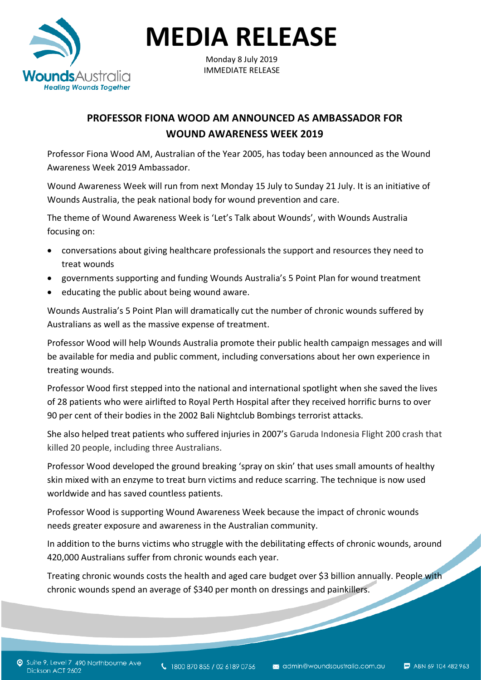

**MEDIA RELEASE**

Monday 8 July 2019 IMMEDIATE RELEASE

## **PROFESSOR FIONA WOOD AM ANNOUNCED AS AMBASSADOR FOR WOUND AWARENESS WEEK 2019**

Professor Fiona Wood AM, Australian of the Year 2005, has today been announced as the Wound Awareness Week 2019 Ambassador.

Wound Awareness Week will run from next Monday 15 July to Sunday 21 July. It is an initiative of Wounds Australia, the peak national body for wound prevention and care.

The theme of Wound Awareness Week is 'Let's Talk about Wounds', with Wounds Australia focusing on:

- conversations about giving healthcare professionals the support and resources they need to treat wounds
- governments supporting and funding Wounds Australia's 5 Point Plan for wound treatment
- educating the public about being wound aware.

Wounds Australia's 5 Point Plan will dramatically cut the number of chronic wounds suffered by Australians as well as the massive expense of treatment.

Professor Wood will help Wounds Australia promote their public health campaign messages and will be available for media and public comment, including conversations about her own experience in treating wounds.

Professor Wood first stepped into the national and international spotlight when she saved the lives of 28 patients who were airlifted to Royal Perth Hospital after they received horrific burns to over 90 per cent of their bodies in the 2002 Bali Nightclub Bombings terrorist attacks.

She also helped treat patients who suffered injuries in 2007's Garuda Indonesia Flight 200 crash that killed 20 people, including three Australians.

Professor Wood developed the ground breaking 'spray on skin' that uses small amounts of healthy skin mixed with an enzyme to treat burn victims and reduce scarring. The technique is now used worldwide and has saved countless patients.

Professor Wood is supporting Wound Awareness Week because the impact of chronic wounds needs greater exposure and awareness in the Australian community.

In addition to the burns victims who struggle with the debilitating effects of chronic wounds, around 420,000 Australians suffer from chronic wounds each year.

Treating chronic wounds costs the health and aged care budget over \$3 billion annually. People with chronic wounds spend an average of \$340 per month on dressings and painkillers.